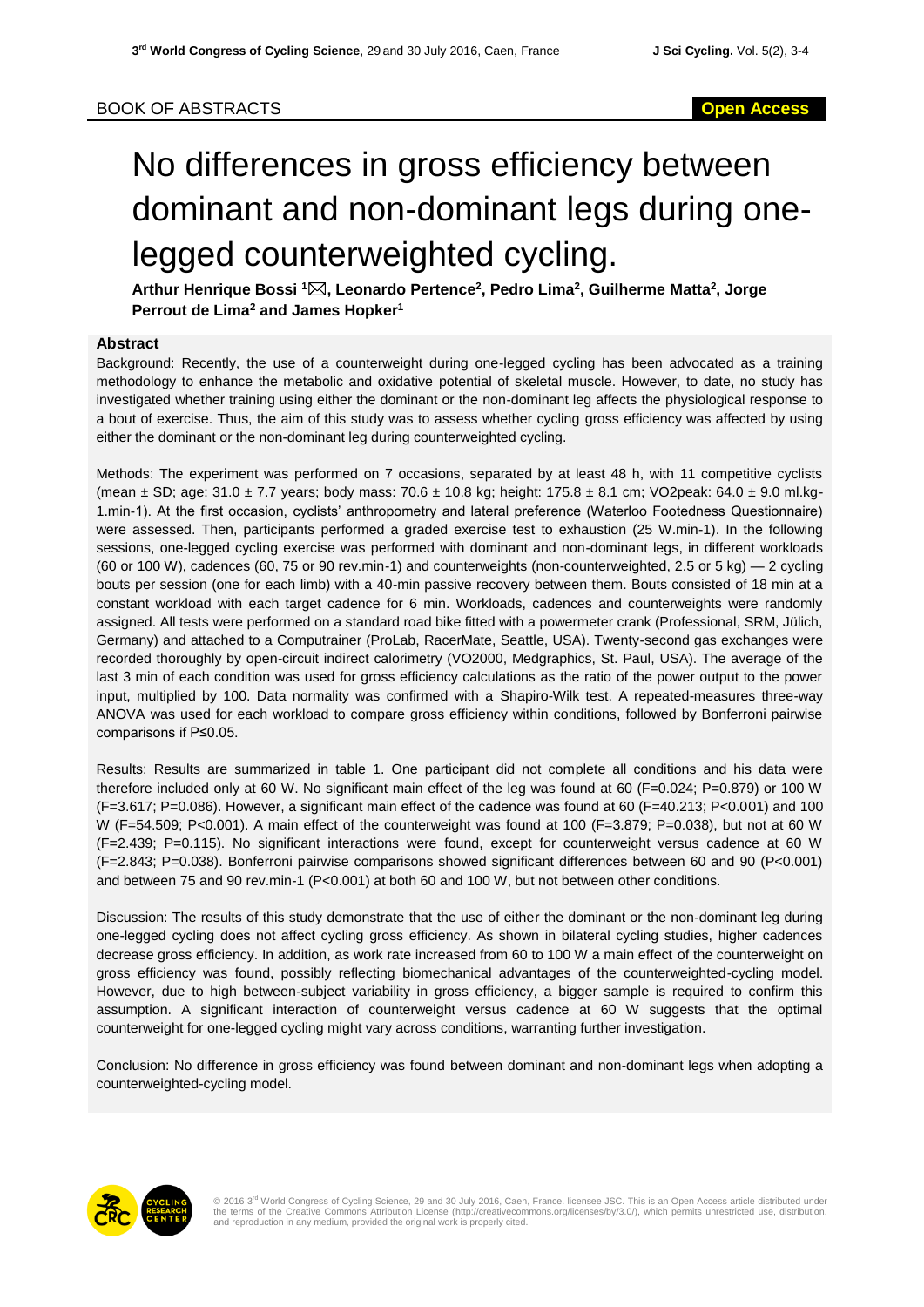## No differences in gross efficiency between dominant and non-dominant legs during onelegged counterweighted cycling.

**Arthur Henrique Bossi <sup>1</sup>, Leonardo Pertence<sup>2</sup> , Pedro Lima<sup>2</sup> , Guilherme Matta<sup>2</sup> , Jorge Perrout de Lima<sup>2</sup> and James Hopker<sup>1</sup>**

## **Abstract**

Background: Recently, the use of a counterweight during one-legged cycling has been advocated as a training methodology to enhance the metabolic and oxidative potential of skeletal muscle. However, to date, no study has investigated whether training using either the dominant or the non-dominant leg affects the physiological response to a bout of exercise. Thus, the aim of this study was to assess whether cycling gross efficiency was affected by using either the dominant or the non-dominant leg during counterweighted cycling.

Methods: The experiment was performed on 7 occasions, separated by at least 48 h, with 11 competitive cyclists (mean  $\pm$  SD; age: 31.0  $\pm$  7.7 years; body mass: 70.6  $\pm$  10.8 kg; height: 175.8  $\pm$  8.1 cm; VO2peak; 64.0  $\pm$  9.0 ml.kg-1.min-1). At the first occasion, cyclists' anthropometry and lateral preference (Waterloo Footedness Questionnaire) were assessed. Then, participants performed a graded exercise test to exhaustion (25 W.min-1). In the following sessions, one-legged cycling exercise was performed with dominant and non-dominant legs, in different workloads (60 or 100 W), cadences (60, 75 or 90 rev.min-1) and counterweights (non-counterweighted, 2.5 or 5 kg) — 2 cycling bouts per session (one for each limb) with a 40-min passive recovery between them. Bouts consisted of 18 min at a constant workload with each target cadence for 6 min. Workloads, cadences and counterweights were randomly assigned. All tests were performed on a standard road bike fitted with a powermeter crank (Professional, SRM, Jülich, Germany) and attached to a Computrainer (ProLab, RacerMate, Seattle, USA). Twenty-second gas exchanges were recorded thoroughly by open-circuit indirect calorimetry (VO2000, Medgraphics, St. Paul, USA). The average of the last 3 min of each condition was used for gross efficiency calculations as the ratio of the power output to the power input, multiplied by 100. Data normality was confirmed with a Shapiro-Wilk test. A repeated-measures three-way ANOVA was used for each workload to compare gross efficiency within conditions, followed by Bonferroni pairwise comparisons if P≤0.05.

Results: Results are summarized in table 1. One participant did not complete all conditions and his data were therefore included only at 60 W. No significant main effect of the leg was found at 60 (F=0.024; P=0.879) or 100 W (F=3.617; P=0.086). However, a significant main effect of the cadence was found at 60 (F=40.213; P<0.001) and 100 W (F=54.509; P<0.001). A main effect of the counterweight was found at 100 (F=3.879; P=0.038), but not at 60 W (F=2.439; P=0.115). No significant interactions were found, except for counterweight versus cadence at 60 W (F=2.843; P=0.038). Bonferroni pairwise comparisons showed significant differences between 60 and 90 (P<0.001) and between 75 and 90 rev.min-1 (P<0.001) at both 60 and 100 W, but not between other conditions.

Discussion: The results of this study demonstrate that the use of either the dominant or the non-dominant leg during one-legged cycling does not affect cycling gross efficiency. As shown in bilateral cycling studies, higher cadences decrease gross efficiency. In addition, as work rate increased from 60 to 100 W a main effect of the counterweight on gross efficiency was found, possibly reflecting biomechanical advantages of the counterweighted-cycling model. However, due to high between-subject variability in gross efficiency, a bigger sample is required to confirm this assumption. A significant interaction of counterweight versus cadence at 60 W suggests that the optimal counterweight for one-legged cycling might vary across conditions, warranting further investigation.

Conclusion: No difference in gross efficiency was found between dominant and non-dominant legs when adopting a counterweighted-cycling model.